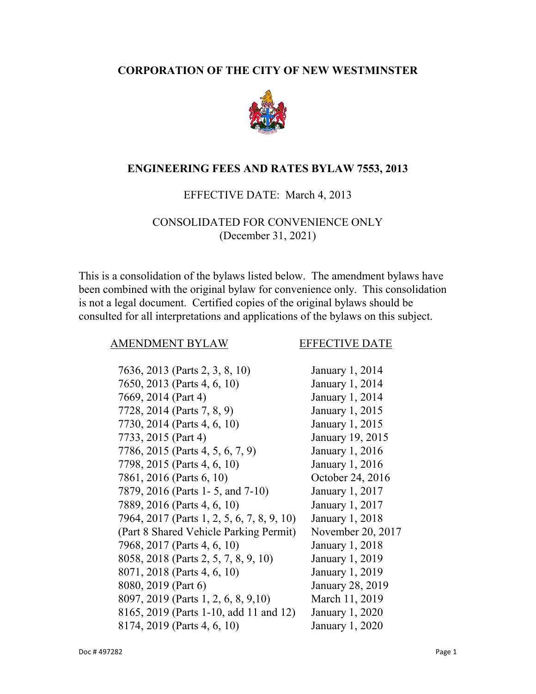#### **I CORPORATION OF THE CITY OF NEW WESTMINSTER**



#### **II ENGINEERING FEES AND RATES BYLAW 7553, 2013**

#### EFFECTIVE DATE: March 4, 2013

## CONSOLIDATED FOR CONVENIENCE ONLY (December 31, 2021)

This is a consolidation of the bylaws listed below. The amendment bylaws have been combined with the original bylaw for convenience only. This consolidation is not a legal document. Certified copies of the original bylaws should be consulted for all interpretations and applications of the bylaws on this subject.

#### AMENDMENT BYLAW EFFECTIVE DATE

| 7636, 2013 (Parts 2, 3, 8, 10)             | January 1, 2014   |
|--------------------------------------------|-------------------|
| 7650, 2013 (Parts 4, 6, 10)                | January 1, 2014   |
| 7669, 2014 (Part 4)                        | January 1, 2014   |
| 7728, 2014 (Parts 7, 8, 9)                 | January 1, 2015   |
| 7730, 2014 (Parts 4, 6, 10)                | January 1, 2015   |
| 7733, 2015 (Part 4)                        | January 19, 2015  |
| 7786, 2015 (Parts 4, 5, 6, 7, 9)           | January 1, 2016   |
| 7798, 2015 (Parts 4, 6, 10)                | January 1, 2016   |
| 7861, 2016 (Parts 6, 10)                   | October 24, 2016  |
| 7879, 2016 (Parts 1-5, and 7-10)           | January 1, 2017   |
| 7889, 2016 (Parts 4, 6, 10)                | January 1, 2017   |
| 7964, 2017 (Parts 1, 2, 5, 6, 7, 8, 9, 10) | January 1, 2018   |
| (Part 8 Shared Vehicle Parking Permit)     | November 20, 2017 |
| 7968, 2017 (Parts 4, 6, 10)                | January 1, 2018   |
| 8058, 2018 (Parts 2, 5, 7, 8, 9, 10)       | January 1, 2019   |
| 8071, 2018 (Parts 4, 6, 10)                | January 1, 2019   |
| 8080, 2019 (Part 6)                        | January 28, 2019  |
| 8097, 2019 (Parts 1, 2, 6, 8, 9, 10)       | March 11, 2019    |
| 8165, 2019 (Parts 1-10, add 11 and 12)     | January 1, 2020   |
| 8174, 2019 (Parts 4, 6, 10)                | January 1, 2020   |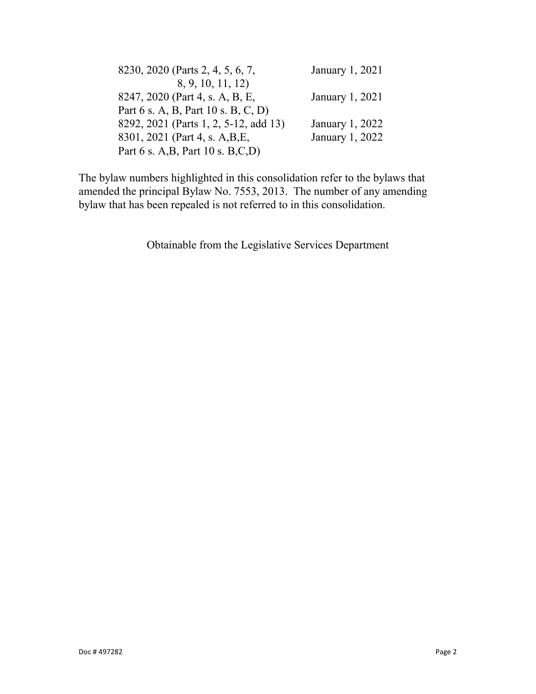| 8230, 2020 (Parts 2, 4, 5, 6, 7,      | January 1, 2021 |
|---------------------------------------|-----------------|
| 8, 9, 10, 11, 12)                     |                 |
| 8247, 2020 (Part 4, s. A, B, E,       | January 1, 2021 |
| Part 6 s. A, B, Part 10 s. B, C, D)   |                 |
| 8292, 2021 (Parts 1, 2, 5-12, add 13) | January 1, 2022 |
| 8301, 2021 (Part 4, s. A, B, E,       | January 1, 2022 |
| Part 6 s. A, B, Part 10 s. B, C, D)   |                 |

The bylaw numbers highlighted in this consolidation refer to the bylaws that amended the principal Bylaw No. 7553, 2013. The number of any amending bylaw that has been repealed is not referred to in this consolidation.

Obtainable from the Legislative Services Department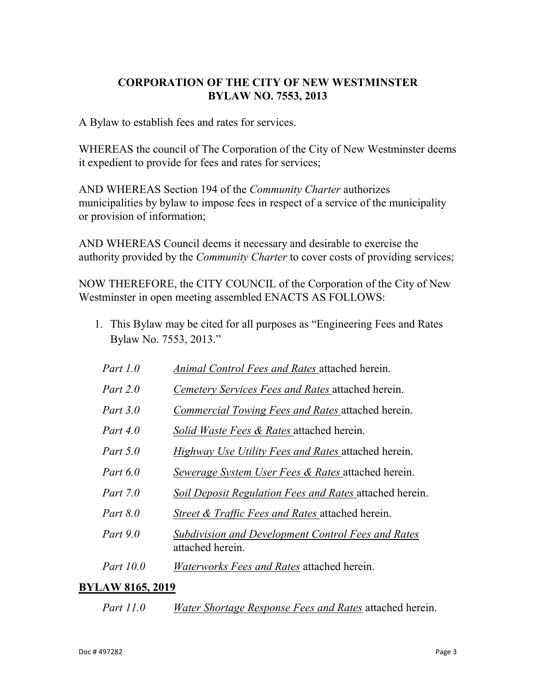## **CORPORATION OF THE CITY OF NEW WESTMINSTER BYLAW NO. 7553, 2013**

A Bylaw to establish fees and rates for services.

WHEREAS the council of The Corporation of the City of New Westminster deems it expedient to provide for fees and rates for services;

AND WHEREAS Section 194 of the *Community Charter* authorizes municipalities by bylaw to impose fees in respect of a service of the municipality or provision of information;

AND WHEREAS Council deems it necessary and desirable to exercise the authority provided by the *Community Charter* to cover costs of providing services;

NOW THEREFORE, the CITY COUNCIL of the Corporation of the City of New Westminster in open meeting assembled ENACTS AS FOLLOWS:

- 1. This Bylaw may be cited for all purposes as "Engineering Fees and Rates Bylaw No. 7553, 2013."
	- *Part 1.0 Animal Control Fees and Rates* attached herein.
	- *Part 2.0 Cemetery Services Fees and Rates* attached herein.
	- *Part 3.0 Commercial Towing Fees and Rates* attached herein.
	- *Part 4.0 Solid Waste Fees & Rates* attached herein.
	- *Part 5.0 Highway Use Utility Fees and Rates* attached herein.
	- *Part 6.0 Sewerage System User Fees & Rates* attached herein.
	- *Part 7.0 Soil Deposit Regulation Fees and Rates* attached herein.
	- *Part 8.0 Street & Traffic Fees and Rates* attached herein.
	- *Part 9.0 Subdivision and Development Control Fees and Rates* attached herein.
- *Part 10.0 Waterworks Fees and Rates* attached herein.

#### **BYLAW 8165, 2019**

*Part 11.0 Water Shortage Response Fees and Rates* attached herein.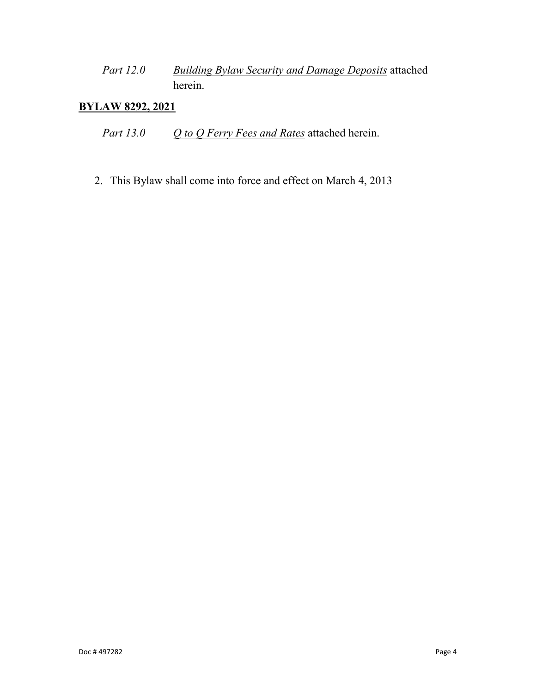*Part 12.0 Building Bylaw Security and Damage Deposits* attached herein.

## **BYLAW 8292, 2021**

*Part 13.0 Q to Q Ferry Fees and Rates* attached herein.

2. This Bylaw shall come into force and effect on March 4, 2013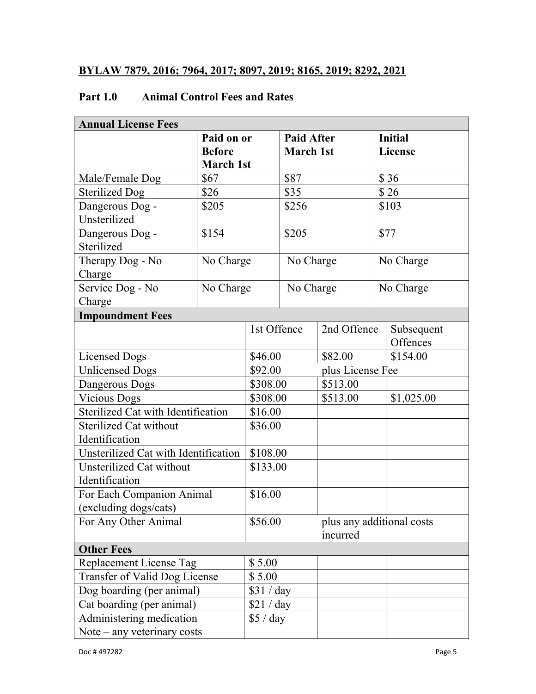## **BYLAW 7879, 2016; 7964, 2017; 8097, 2019; 8165, 2019; 8292, 2021**

## **Part 1.0 Animal Control Fees and Rates**

| <b>Annual License Fees</b>           |                  |                     |                   |                  |                           |
|--------------------------------------|------------------|---------------------|-------------------|------------------|---------------------------|
|                                      | Paid on or       |                     | <b>Paid After</b> |                  | <b>Initial</b>            |
|                                      | <b>Before</b>    |                     | <b>March 1st</b>  |                  | <b>License</b>            |
|                                      | <b>March 1st</b> |                     |                   |                  |                           |
| Male/Female Dog                      | \$67             |                     | \$87              |                  | \$36                      |
| <b>Sterilized Dog</b>                | \$26             |                     | \$35              |                  | \$26                      |
| Dangerous Dog -                      | \$205            |                     | \$256             |                  | \$103                     |
| Unsterilized                         |                  |                     |                   |                  |                           |
| Dangerous Dog -                      | \$154            |                     | \$205             |                  | \$77                      |
| Sterilized                           |                  |                     |                   |                  |                           |
| Therapy Dog - No                     | No Charge        |                     | No Charge         |                  | No Charge                 |
| Charge                               |                  |                     |                   |                  |                           |
| Service Dog - No                     | No Charge        |                     | No Charge         |                  | No Charge                 |
| Charge                               |                  |                     |                   |                  |                           |
| <b>Impoundment Fees</b>              |                  |                     |                   |                  |                           |
|                                      |                  | 1st Offence         |                   | 2nd Offence      | Subsequent                |
|                                      |                  |                     |                   |                  | Offences                  |
| <b>Licensed Dogs</b>                 |                  | \$46.00             |                   | \$82.00          | \$154.00                  |
| <b>Unlicensed Dogs</b>               |                  | \$92.00<br>\$308.00 |                   | plus License Fee |                           |
| Dangerous Dogs                       |                  |                     |                   | \$513.00         |                           |
| <b>Vicious Dogs</b>                  |                  | \$308.00            |                   | \$513.00         | \$1,025.00                |
| Sterilized Cat with Identification   |                  | \$16.00             |                   |                  |                           |
| <b>Sterilized Cat without</b>        |                  | \$36.00             |                   |                  |                           |
| Identification                       |                  |                     |                   |                  |                           |
| Unsterilized Cat with Identification |                  | \$108.00            |                   |                  |                           |
| Unsterilized Cat without             |                  | \$133.00            |                   |                  |                           |
| Identification                       |                  |                     |                   |                  |                           |
| For Each Companion Animal            |                  | \$16.00             |                   |                  |                           |
| (excluding dogs/cats)                |                  |                     |                   |                  |                           |
| For Any Other Animal                 |                  | \$56.00             |                   |                  | plus any additional costs |
|                                      |                  |                     |                   | incurred         |                           |
| <b>Other Fees</b>                    |                  |                     |                   |                  |                           |
| Replacement License Tag<br>\$5.00    |                  |                     |                   |                  |                           |
| Transfer of Valid Dog License        |                  | \$5.00              |                   |                  |                           |
| Dog boarding (per animal)            |                  | \$31 / day          |                   |                  |                           |
| Cat boarding (per animal)            |                  | \$21 / day          |                   |                  |                           |
| Administering medication             |                  | \$5 / day           |                   |                  |                           |
| Note $-$ any veterinary costs        |                  |                     |                   |                  |                           |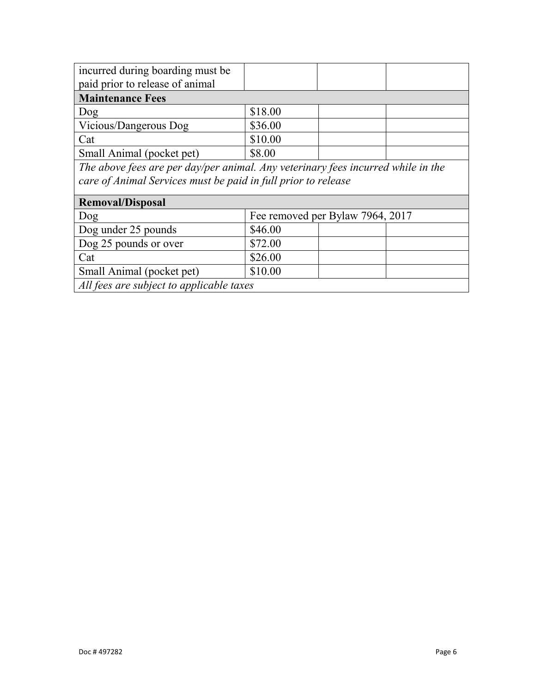| incurred during boarding must be                                                 |                                  |  |  |  |
|----------------------------------------------------------------------------------|----------------------------------|--|--|--|
| paid prior to release of animal                                                  |                                  |  |  |  |
| <b>Maintenance Fees</b>                                                          |                                  |  |  |  |
| Dog                                                                              | \$18.00                          |  |  |  |
| Vicious/Dangerous Dog                                                            | \$36.00                          |  |  |  |
| Cat                                                                              | \$10.00                          |  |  |  |
| Small Animal (pocket pet)                                                        | \$8.00                           |  |  |  |
| The above fees are per day/per animal. Any veterinary fees incurred while in the |                                  |  |  |  |
| care of Animal Services must be paid in full prior to release                    |                                  |  |  |  |
|                                                                                  |                                  |  |  |  |
| <b>Removal/Disposal</b>                                                          |                                  |  |  |  |
| Dog                                                                              | Fee removed per Bylaw 7964, 2017 |  |  |  |
| Dog under 25 pounds                                                              | \$46.00                          |  |  |  |
| Dog 25 pounds or over                                                            | \$72.00                          |  |  |  |
| Cat                                                                              | \$26.00                          |  |  |  |
|                                                                                  |                                  |  |  |  |

Small Animal (pocket pet)  $\vert$  \$10.00 *All fees are subject to applicable taxes*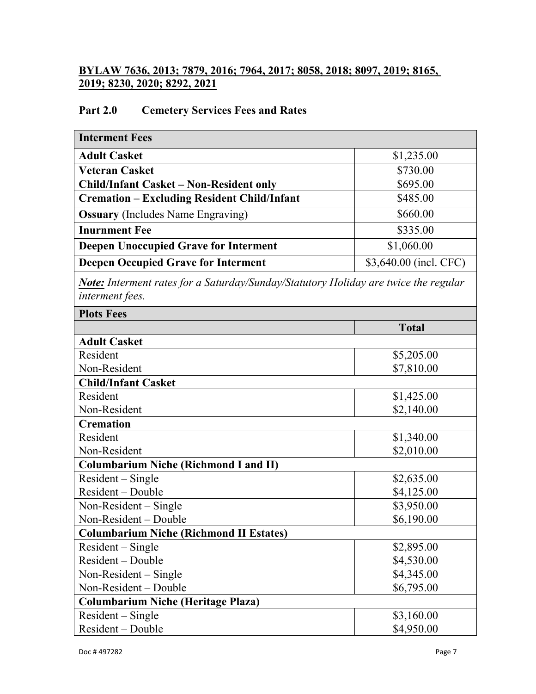## **BYLAW 7636, 2013; 7879, 2016; 7964, 2017; 8058, 2018; 8097, 2019; 8165, 2019; 8230, 2020; 8292, 2021**

## **Part 2.0 Cemetery Services Fees and Rates**

| <b>Interment Fees</b>                                                                                  |                        |
|--------------------------------------------------------------------------------------------------------|------------------------|
| <b>Adult Casket</b>                                                                                    | \$1,235.00             |
| <b>Veteran Casket</b>                                                                                  | \$730.00               |
| <b>Child/Infant Casket - Non-Resident only</b>                                                         | \$695.00               |
| <b>Cremation – Excluding Resident Child/Infant</b>                                                     | \$485.00               |
| <b>Ossuary</b> (Includes Name Engraving)                                                               | \$660.00               |
| <b>Inurnment Fee</b>                                                                                   | \$335.00               |
| <b>Deepen Unoccupied Grave for Interment</b>                                                           | \$1,060.00             |
| <b>Deepen Occupied Grave for Interment</b>                                                             | \$3,640.00 (incl. CFC) |
| Note: Interment rates for a Saturday/Sunday/Statutory Holiday are twice the regular<br>interment fees. |                        |
| <b>Plots Fees</b>                                                                                      |                        |
|                                                                                                        | <b>Total</b>           |
| <b>Adult Casket</b>                                                                                    |                        |
| Resident                                                                                               | \$5,205.00             |
| Non-Resident                                                                                           | \$7,810.00             |
| <b>Child/Infant Casket</b>                                                                             |                        |
| Resident                                                                                               | \$1,425.00             |
| Non-Resident                                                                                           | \$2,140.00             |
| <b>Cremation</b>                                                                                       |                        |
| Resident                                                                                               | \$1,340.00             |
| Non-Resident                                                                                           | \$2,010.00             |
| <b>Columbarium Niche (Richmond I and II)</b>                                                           |                        |
| Resident - Single                                                                                      | \$2,635.00             |
| Resident – Double                                                                                      | \$4,125.00             |
| Non-Resident $-$ Single                                                                                | \$3,950.00             |
| Non-Resident – Double                                                                                  | \$6,190.00             |
| <b>Columbarium Niche (Richmond II Estates)</b>                                                         |                        |
| Resident – Single                                                                                      | \$2,895.00             |
| Resident - Double                                                                                      | \$4,530.00             |
| Non-Resident $-$ Single                                                                                | \$4,345.00             |
| Non-Resident - Double                                                                                  | \$6,795.00             |
| <b>Columbarium Niche (Heritage Plaza)</b>                                                              |                        |
| $Resident-Single$                                                                                      | \$3,160.00             |
| Resident - Double                                                                                      | \$4,950.00             |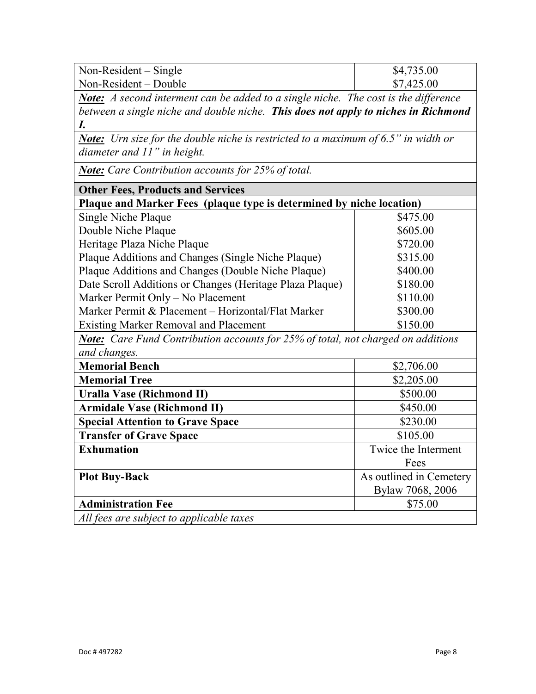| Non-Resident $-$ Single | \$4,735.00 |
|-------------------------|------------|
| $Non-Resident - Double$ | \$7,425.00 |

*Note: A second interment can be added to a single niche. The cost is the difference between a single niche and double niche. This does not apply to niches in Richmond I.*

*Note: Urn size for the double niche is restricted to a maximum of 6.5" in width or diameter and 11" in height.* 

*Note: Care Contribution accounts for 25% of total.*

| <b>Other Fees, Products and Services</b>                                                |                         |
|-----------------------------------------------------------------------------------------|-------------------------|
| Plaque and Marker Fees (plaque type is determined by niche location)                    |                         |
| Single Niche Plaque                                                                     | \$475.00                |
| Double Niche Plaque                                                                     | \$605.00                |
| Heritage Plaza Niche Plaque                                                             | \$720.00                |
| Plaque Additions and Changes (Single Niche Plaque)                                      | \$315.00                |
| Plaque Additions and Changes (Double Niche Plaque)                                      | \$400.00                |
| Date Scroll Additions or Changes (Heritage Plaza Plaque)                                | \$180.00                |
| Marker Permit Only - No Placement                                                       | \$110.00                |
| Marker Permit & Placement - Horizontal/Flat Marker                                      | \$300.00                |
| <b>Existing Marker Removal and Placement</b>                                            | \$150.00                |
| <b>Note:</b> Care Fund Contribution accounts for 25% of total, not charged on additions |                         |
| and changes.                                                                            |                         |
| <b>Memorial Bench</b>                                                                   | \$2,706.00              |
| <b>Memorial Tree</b>                                                                    | \$2,205.00              |
| Uralla Vase (Richmond II)                                                               | \$500.00                |
| <b>Armidale Vase (Richmond II)</b>                                                      | \$450.00                |
| <b>Special Attention to Grave Space</b>                                                 | \$230.00                |
| <b>Transfer of Grave Space</b>                                                          | \$105.00                |
| <b>Exhumation</b>                                                                       | Twice the Interment     |
|                                                                                         | Fees                    |
| <b>Plot Buy-Back</b>                                                                    | As outlined in Cemetery |
|                                                                                         | Bylaw 7068, 2006        |
| <b>Administration Fee</b>                                                               | \$75.00                 |
| All fees are subject to applicable taxes                                                |                         |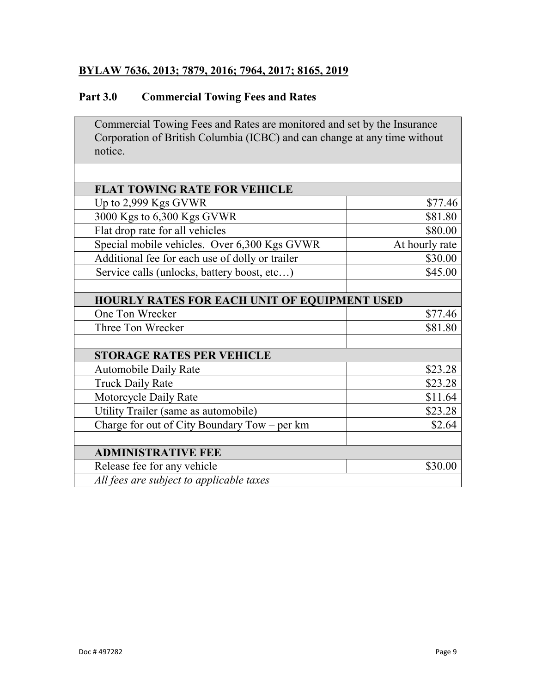## **BYLAW 7636, 2013; 7879, 2016; 7964, 2017; 8165, 2019**

## **Part 3.0 Commercial Towing Fees and Rates**

Commercial Towing Fees and Rates are monitored and set by the Insurance Corporation of British Columbia (ICBC) and can change at any time without notice.

| <b>FLAT TOWING RATE FOR VEHICLE</b>                 |                |
|-----------------------------------------------------|----------------|
| Up to 2,999 Kgs GVWR                                | \$77.46        |
| 3000 Kgs to 6,300 Kgs GVWR                          | \$81.80        |
| Flat drop rate for all vehicles                     | \$80.00        |
| Special mobile vehicles. Over 6,300 Kgs GVWR        | At hourly rate |
| Additional fee for each use of dolly or trailer     | \$30.00        |
| Service calls (unlocks, battery boost, etc)         | \$45.00        |
|                                                     |                |
| <b>HOURLY RATES FOR EACH UNIT OF EQUIPMENT USED</b> |                |
| One Ton Wrecker                                     | \$77.46        |
| Three Ton Wrecker                                   | \$81.80        |
|                                                     |                |
| <b>STORAGE RATES PER VEHICLE</b>                    |                |
| <b>Automobile Daily Rate</b>                        | \$23.28        |
| <b>Truck Daily Rate</b>                             | \$23.28        |
| Motorcycle Daily Rate                               | \$11.64        |
| Utility Trailer (same as automobile)                | \$23.28        |
| Charge for out of City Boundary Tow – per km        | \$2.64         |
|                                                     |                |
| <b>ADMINISTRATIVE FEE</b>                           |                |
| Release fee for any vehicle                         | \$30.00        |
| All fees are subject to applicable taxes            |                |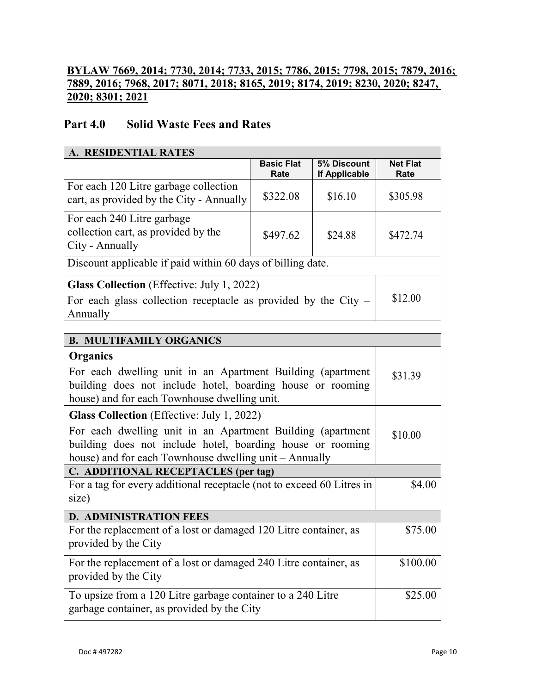## **BYLAW 7669, 2014; 7730, 2014; 7733, 2015; 7786, 2015; 7798, 2015; 7879, 2016; 7889, 2016; 7968, 2017; 8071, 2018; 8165, 2019; 8174, 2019; 8230, 2020; 8247, 2020; 8301; 2021**

## **Part 4.0 Solid Waste Fees and Rates**

| A. RESIDENTIAL RATES                                                                                                                                                                 |                                                                  |                                     |                         |  |
|--------------------------------------------------------------------------------------------------------------------------------------------------------------------------------------|------------------------------------------------------------------|-------------------------------------|-------------------------|--|
|                                                                                                                                                                                      | <b>Basic Flat</b><br>Rate                                        | 5% Discount<br><b>If Applicable</b> | <b>Net Flat</b><br>Rate |  |
| For each 120 Litre garbage collection<br>cart, as provided by the City - Annually                                                                                                    | \$322.08                                                         | \$16.10                             | \$305.98                |  |
| For each 240 Litre garbage<br>collection cart, as provided by the<br>City - Annually                                                                                                 | \$497.62                                                         | \$24.88                             | \$472.74                |  |
| Discount applicable if paid within 60 days of billing date.                                                                                                                          |                                                                  |                                     |                         |  |
| <b>Glass Collection</b> (Effective: July 1, 2022)<br>For each glass collection receptacle as provided by the City $-$<br>Annually                                                    |                                                                  |                                     | \$12.00                 |  |
|                                                                                                                                                                                      |                                                                  |                                     |                         |  |
| <b>B. MULTIFAMILY ORGANICS</b>                                                                                                                                                       |                                                                  |                                     |                         |  |
| Organics<br>For each dwelling unit in an Apartment Building (apartment<br>building does not include hotel, boarding house or rooming<br>house) and for each Townhouse dwelling unit. |                                                                  |                                     | \$31.39                 |  |
| <b>Glass Collection</b> (Effective: July 1, 2022)                                                                                                                                    |                                                                  |                                     |                         |  |
| For each dwelling unit in an Apartment Building (apartment<br>building does not include hotel, boarding house or rooming<br>house) and for each Townhouse dwelling unit - Annually   |                                                                  |                                     | \$10.00                 |  |
| C. ADDITIONAL RECEPTACLES (per tag)                                                                                                                                                  |                                                                  |                                     |                         |  |
| For a tag for every additional receptacle (not to exceed 60 Litres in<br>size)                                                                                                       |                                                                  |                                     | \$4.00                  |  |
| <b>D. ADMINISTRATION FEES</b>                                                                                                                                                        |                                                                  |                                     |                         |  |
| For the replacement of a lost or damaged 120 Litre container, as<br>provided by the City                                                                                             |                                                                  |                                     | \$75.00                 |  |
| provided by the City                                                                                                                                                                 | For the replacement of a lost or damaged 240 Litre container, as |                                     |                         |  |
| To upsize from a 120 Litre garbage container to a 240 Litre<br>garbage container, as provided by the City                                                                            |                                                                  |                                     | \$25.00                 |  |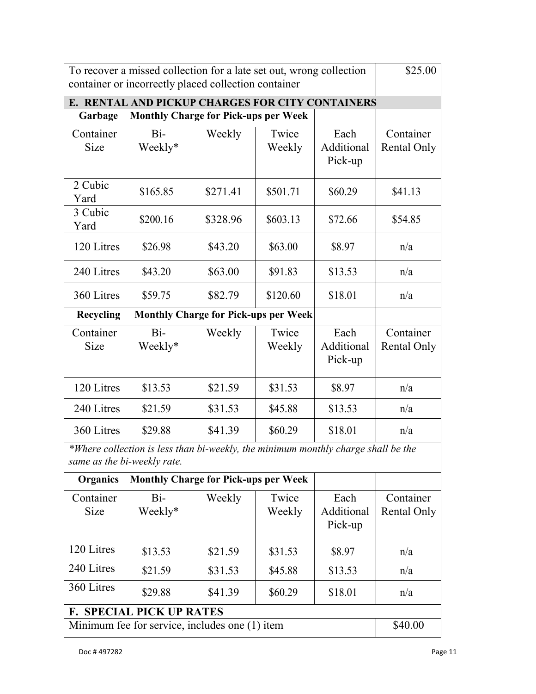| To recover a missed collection for a late set out, wrong collection<br>container or incorrectly placed collection container |                                             |          |                 | \$25.00                       |                                 |
|-----------------------------------------------------------------------------------------------------------------------------|---------------------------------------------|----------|-----------------|-------------------------------|---------------------------------|
| E. RENTAL AND PICKUP CHARGES FOR CITY CONTAINERS                                                                            |                                             |          |                 |                               |                                 |
| Garbage                                                                                                                     | <b>Monthly Charge for Pick-ups per Week</b> |          |                 |                               |                                 |
| Container<br>Size                                                                                                           | $Bi-$<br>Weekly*                            | Weekly   | Twice<br>Weekly | Each<br>Additional<br>Pick-up | Container<br>Rental Only        |
| 2 Cubic<br>Yard                                                                                                             | \$165.85                                    | \$271.41 | \$501.71        | \$60.29                       | \$41.13                         |
| 3 Cubic<br>Yard                                                                                                             | \$200.16                                    | \$328.96 | \$603.13        | \$72.66                       | \$54.85                         |
| 120 Litres                                                                                                                  | \$26.98                                     | \$43.20  | \$63.00         | \$8.97                        | n/a                             |
| 240 Litres                                                                                                                  | \$43.20                                     | \$63.00  | \$91.83         | \$13.53                       | n/a                             |
| 360 Litres                                                                                                                  | \$59.75                                     | \$82.79  | \$120.60        | \$18.01                       | n/a                             |
| Recycling                                                                                                                   | <b>Monthly Charge for Pick-ups per Week</b> |          |                 |                               |                                 |
| Container<br>Size                                                                                                           | Bi-<br>Weekly*                              | Weekly   | Twice<br>Weekly | Each<br>Additional<br>Pick-up | Container<br><b>Rental Only</b> |
| 120 Litres                                                                                                                  | \$13.53                                     | \$21.59  | \$31.53         | \$8.97                        | n/a                             |
| 240 Litres                                                                                                                  | \$21.59                                     | \$31.53  | \$45.88         | \$13.53                       | n/a                             |
| 360 Litres                                                                                                                  | \$29.88                                     | \$41.39  | \$60.29         | \$18.01                       | n/a                             |
| *Where collection is less than bi-weekly, the minimum monthly charge shall be the<br>same as the bi-weekly rate.            |                                             |          |                 |                               |                                 |
| Organics                                                                                                                    | <b>Monthly Charge for Pick-ups per Week</b> |          |                 |                               |                                 |
| Container<br>Size                                                                                                           | Bi-<br>Weekly*                              | Weekly   | Twice<br>Weekly | Each<br>Additional<br>Pick-up | Container<br><b>Rental Only</b> |
|                                                                                                                             |                                             |          |                 |                               |                                 |
| 120 Litres                                                                                                                  | \$13.53                                     | \$21.59  | \$31.53         | \$8.97                        | n/a                             |
| 240 Litres                                                                                                                  | \$21.59                                     | \$31.53  | \$45.88         | \$13.53                       | n/a                             |

**F. SPECIAL PICK UP RATES** Minimum fee for service, includes one (1) item \$40.00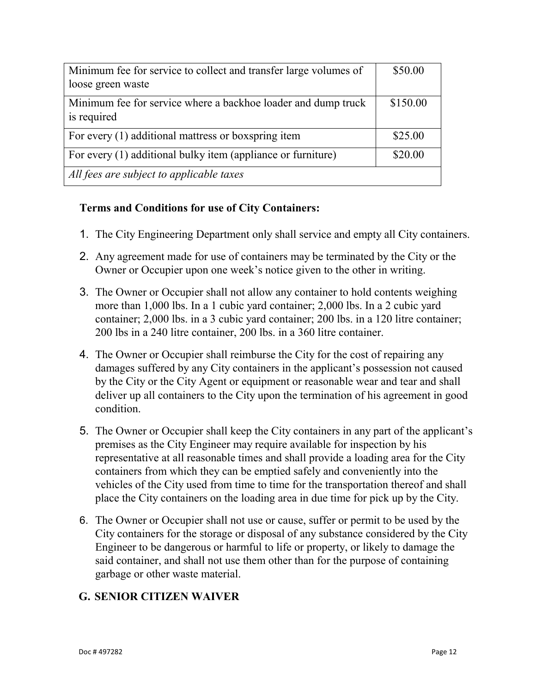| Minimum fee for service to collect and transfer large volumes of             | \$50.00  |
|------------------------------------------------------------------------------|----------|
| loose green waste                                                            |          |
| Minimum fee for service where a backhoe loader and dump truck<br>is required | \$150.00 |
| For every (1) additional mattress or boxspring item                          | \$25.00  |
| For every (1) additional bulky item (appliance or furniture)                 | \$20.00  |
| All fees are subject to applicable taxes                                     |          |

## **Terms and Conditions for use of City Containers:**

- 1. The City Engineering Department only shall service and empty all City containers.
- 2. Any agreement made for use of containers may be terminated by the City or the Owner or Occupier upon one week's notice given to the other in writing.
- 3. The Owner or Occupier shall not allow any container to hold contents weighing more than 1,000 lbs. In a 1 cubic yard container; 2,000 lbs. In a 2 cubic yard container; 2,000 lbs. in a 3 cubic yard container; 200 lbs. in a 120 litre container; 200 lbs in a 240 litre container, 200 lbs. in a 360 litre container.
- 4. The Owner or Occupier shall reimburse the City for the cost of repairing any damages suffered by any City containers in the applicant's possession not caused by the City or the City Agent or equipment or reasonable wear and tear and shall deliver up all containers to the City upon the termination of his agreement in good condition.
- 5. The Owner or Occupier shall keep the City containers in any part of the applicant's premises as the City Engineer may require available for inspection by his representative at all reasonable times and shall provide a loading area for the City containers from which they can be emptied safely and conveniently into the vehicles of the City used from time to time for the transportation thereof and shall place the City containers on the loading area in due time for pick up by the City.
- 6. The Owner or Occupier shall not use or cause, suffer or permit to be used by the City containers for the storage or disposal of any substance considered by the City Engineer to be dangerous or harmful to life or property, or likely to damage the said container, and shall not use them other than for the purpose of containing garbage or other waste material.

## **G. SENIOR CITIZEN WAIVER**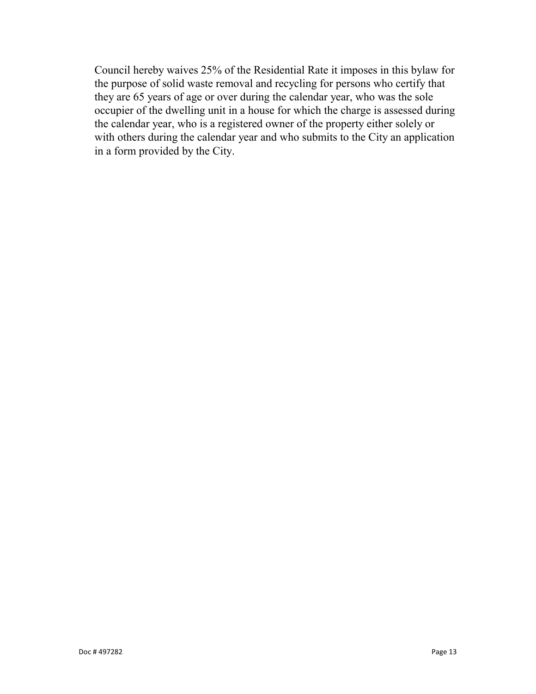Council hereby waives 25% of the Residential Rate it imposes in this bylaw for the purpose of solid waste removal and recycling for persons who certify that they are 65 years of age or over during the calendar year, who was the sole occupier of the dwelling unit in a house for which the charge is assessed during the calendar year, who is a registered owner of the property either solely or with others during the calendar year and who submits to the City an application in a form provided by the City.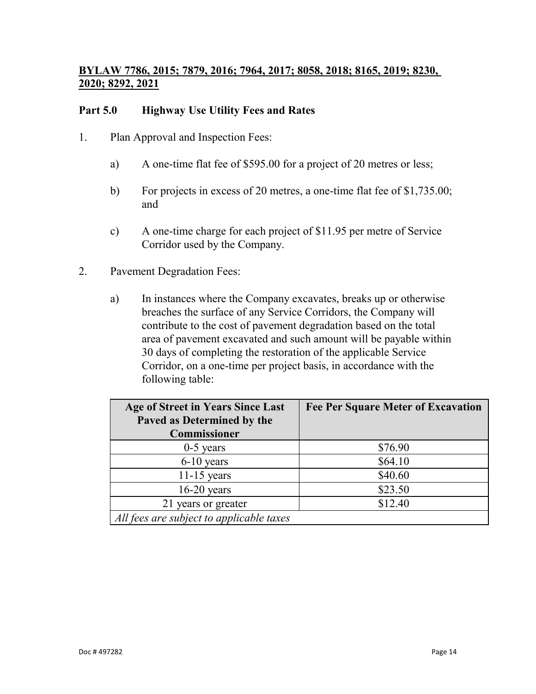## **BYLAW 7786, 2015; 7879, 2016; 7964, 2017; 8058, 2018; 8165, 2019; 8230, 2020; 8292, 2021**

## **Part 5.0 Highway Use Utility Fees and Rates**

- 1. Plan Approval and Inspection Fees:
	- a) A one-time flat fee of \$595.00 for a project of 20 metres or less;
	- b) For projects in excess of 20 metres, a one-time flat fee of \$1,735.00; and
	- c) A one-time charge for each project of \$11.95 per metre of Service Corridor used by the Company.
- 2. Pavement Degradation Fees:
	- a) In instances where the Company excavates, breaks up or otherwise breaches the surface of any Service Corridors, the Company will contribute to the cost of pavement degradation based on the total area of pavement excavated and such amount will be payable within 30 days of completing the restoration of the applicable Service Corridor, on a one-time per project basis, in accordance with the following table:

| Age of Street in Years Since Last        | <b>Fee Per Square Meter of Excavation</b> |
|------------------------------------------|-------------------------------------------|
| Paved as Determined by the               |                                           |
| Commissioner                             |                                           |
| $0-5$ years                              | \$76.90                                   |
| $6-10$ years                             | \$64.10                                   |
| $11-15$ years                            | \$40.60                                   |
| $16-20$ years                            | \$23.50                                   |
| 21 years or greater                      | \$12.40                                   |
| All fees are subject to applicable taxes |                                           |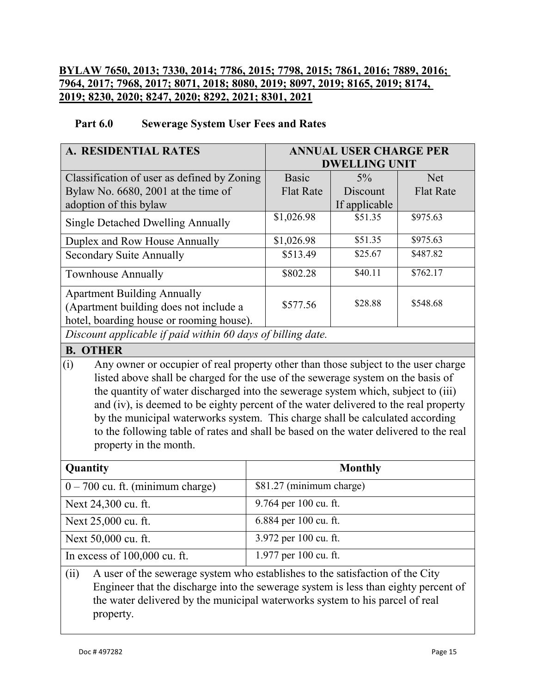## **BYLAW 7650, 2013; 7330, 2014; 7786, 2015; 7798, 2015; 7861, 2016; 7889, 2016; 7964, 2017; 7968, 2017; 8071, 2018; 8080, 2019; 8097, 2019; 8165, 2019; 8174, 2019; 8230, 2020; 8247, 2020; 8292, 2021; 8301, 2021**

#### **Part 6.0 Sewerage System User Fees and Rates**

| A. RESIDENTIAL RATES                                                                                                                                                      |                       | <b>ANNUAL USER CHARGE PER</b> |                  |  |
|---------------------------------------------------------------------------------------------------------------------------------------------------------------------------|-----------------------|-------------------------------|------------------|--|
|                                                                                                                                                                           |                       | <b>DWELLING UNIT</b>          |                  |  |
| Classification of user as defined by Zoning                                                                                                                               | <b>Basic</b>          | $5\%$                         | <b>Net</b>       |  |
| Bylaw No. 6680, 2001 at the time of                                                                                                                                       | <b>Flat Rate</b>      | Discount                      | <b>Flat Rate</b> |  |
| adoption of this bylaw                                                                                                                                                    |                       | If applicable                 |                  |  |
| <b>Single Detached Dwelling Annually</b>                                                                                                                                  | \$1,026.98            | \$51.35                       | \$975.63         |  |
| Duplex and Row House Annually                                                                                                                                             | \$1,026.98            | \$51.35                       | \$975.63         |  |
| <b>Secondary Suite Annually</b>                                                                                                                                           | \$513.49              | \$25.67                       | \$487.82         |  |
| <b>Townhouse Annually</b>                                                                                                                                                 | \$802.28              | \$40.11                       | \$762.17         |  |
| <b>Apartment Building Annually</b>                                                                                                                                        |                       |                               |                  |  |
| (Apartment building does not include a                                                                                                                                    | \$577.56              | \$28.88                       | \$548.68         |  |
| hotel, boarding house or rooming house).                                                                                                                                  |                       |                               |                  |  |
| Discount applicable if paid within 60 days of billing date.                                                                                                               |                       |                               |                  |  |
| <b>B. OTHER</b>                                                                                                                                                           |                       |                               |                  |  |
| (i)                                                                                                                                                                       |                       |                               |                  |  |
| Any owner or occupier of real property other than those subject to the user charge                                                                                        |                       |                               |                  |  |
| listed above shall be charged for the use of the sewerage system on the basis of                                                                                          |                       |                               |                  |  |
| the quantity of water discharged into the sewerage system which, subject to (iii)<br>and (iv), is deemed to be eighty percent of the water delivered to the real property |                       |                               |                  |  |
|                                                                                                                                                                           |                       |                               |                  |  |
| by the municipal waterworks system. This charge shall be calculated according                                                                                             |                       |                               |                  |  |
| to the following table of rates and shall be based on the water delivered to the real                                                                                     |                       |                               |                  |  |
| property in the month.                                                                                                                                                    |                       |                               |                  |  |
| Quantity                                                                                                                                                                  |                       | <b>Monthly</b>                |                  |  |
| \$81.27 (minimum charge)<br>$0 - 700$ cu. ft. (minimum charge)                                                                                                            |                       |                               |                  |  |
| 9.764 per 100 cu. ft.<br>Next 24,300 cu. ft.                                                                                                                              |                       |                               |                  |  |
| Next 25,000 cu. ft.                                                                                                                                                       | 6.884 per 100 cu. ft. |                               |                  |  |
| 3.972 per 100 cu. ft.<br>Next 50,000 cu. ft.                                                                                                                              |                       |                               |                  |  |
| In excess of 100,000 cu. ft.                                                                                                                                              | 1.977 per 100 cu. ft. |                               |                  |  |

(ii) A user of the sewerage system who establishes to the satisfaction of the City Engineer that the discharge into the sewerage system is less than eighty percent of the water delivered by the municipal waterworks system to his parcel of real property.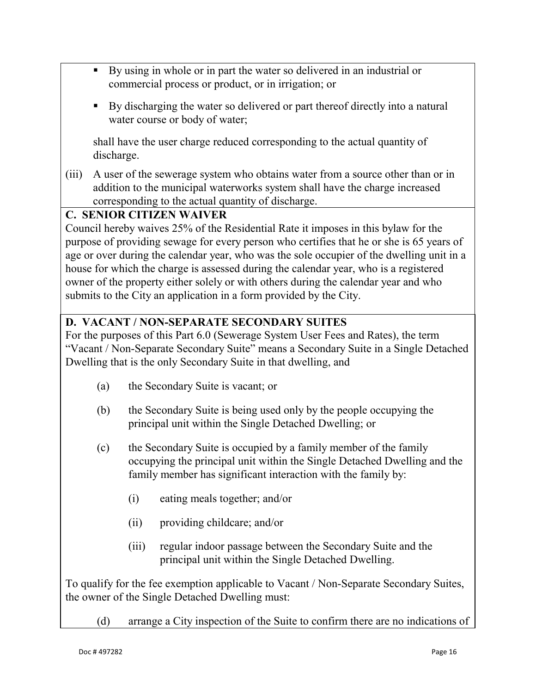- By using in whole or in part the water so delivered in an industrial or commercial process or product, or in irrigation; or
- By discharging the water so delivered or part thereof directly into a natural water course or body of water;

shall have the user charge reduced corresponding to the actual quantity of discharge.

(iii) A user of the sewerage system who obtains water from a source other than or in addition to the municipal waterworks system shall have the charge increased corresponding to the actual quantity of discharge.

## **C. SENIOR CITIZEN WAIVER**

Council hereby waives 25% of the Residential Rate it imposes in this bylaw for the purpose of providing sewage for every person who certifies that he or she is 65 years of age or over during the calendar year, who was the sole occupier of the dwelling unit in a house for which the charge is assessed during the calendar year, who is a registered owner of the property either solely or with others during the calendar year and who submits to the City an application in a form provided by the City.

## **D. VACANT / NON-SEPARATE SECONDARY SUITES**

For the purposes of this Part 6.0 (Sewerage System User Fees and Rates), the term "Vacant / Non-Separate Secondary Suite" means a Secondary Suite in a Single Detached Dwelling that is the only Secondary Suite in that dwelling, and

- (a) the Secondary Suite is vacant; or
- (b) the Secondary Suite is being used only by the people occupying the principal unit within the Single Detached Dwelling; or
- (c) the Secondary Suite is occupied by a family member of the family occupying the principal unit within the Single Detached Dwelling and the family member has significant interaction with the family by:
	- (i) eating meals together; and/or
	- (ii) providing childcare; and/or
	- (iii) regular indoor passage between the Secondary Suite and the principal unit within the Single Detached Dwelling.

To qualify for the fee exemption applicable to Vacant / Non-Separate Secondary Suites, the owner of the Single Detached Dwelling must:

(d) arrange a City inspection of the Suite to confirm there are no indications of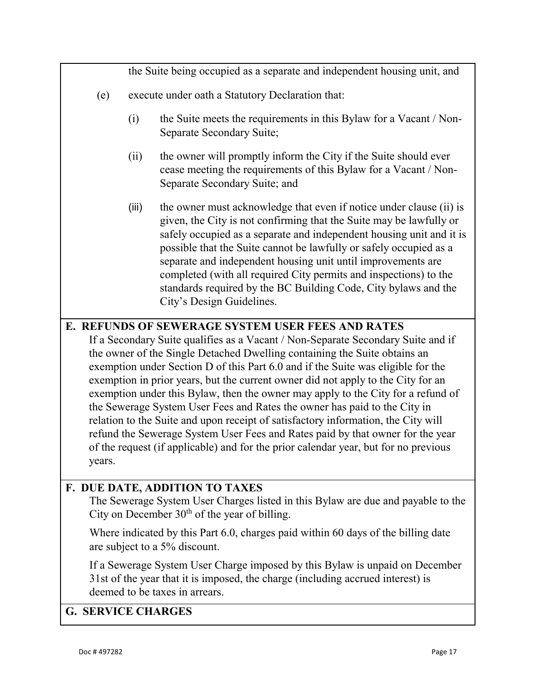|        |                                                                                                                                     | the Suite being occupied as a separate and independent housing unit, and                                                                                                                                                                                                                                                                                                                                                                                                                                                                                                                                                                                                                                                                                             |  |
|--------|-------------------------------------------------------------------------------------------------------------------------------------|----------------------------------------------------------------------------------------------------------------------------------------------------------------------------------------------------------------------------------------------------------------------------------------------------------------------------------------------------------------------------------------------------------------------------------------------------------------------------------------------------------------------------------------------------------------------------------------------------------------------------------------------------------------------------------------------------------------------------------------------------------------------|--|
| (e)    | execute under oath a Statutory Declaration that:                                                                                    |                                                                                                                                                                                                                                                                                                                                                                                                                                                                                                                                                                                                                                                                                                                                                                      |  |
|        | (i)                                                                                                                                 | the Suite meets the requirements in this Bylaw for a Vacant / Non-<br>Separate Secondary Suite;                                                                                                                                                                                                                                                                                                                                                                                                                                                                                                                                                                                                                                                                      |  |
|        | (ii)                                                                                                                                | the owner will promptly inform the City if the Suite should ever<br>cease meeting the requirements of this Bylaw for a Vacant / Non-<br>Separate Secondary Suite; and                                                                                                                                                                                                                                                                                                                                                                                                                                                                                                                                                                                                |  |
|        | (iii)                                                                                                                               | the owner must acknowledge that even if notice under clause (ii) is<br>given, the City is not confirming that the Suite may be lawfully or<br>safely occupied as a separate and independent housing unit and it is<br>possible that the Suite cannot be lawfully or safely occupied as a<br>separate and independent housing unit until improvements are<br>completed (with all required City permits and inspections) to the<br>standards required by the BC Building Code, City bylaws and the<br>City's Design Guidelines.                                                                                                                                                                                                                                        |  |
|        |                                                                                                                                     | E. REFUNDS OF SEWERAGE SYSTEM USER FEES AND RATES                                                                                                                                                                                                                                                                                                                                                                                                                                                                                                                                                                                                                                                                                                                    |  |
| years. |                                                                                                                                     | If a Secondary Suite qualifies as a Vacant / Non-Separate Secondary Suite and if<br>the owner of the Single Detached Dwelling containing the Suite obtains an<br>exemption under Section D of this Part 6.0 and if the Suite was eligible for the<br>exemption in prior years, but the current owner did not apply to the City for an<br>exemption under this Bylaw, then the owner may apply to the City for a refund of<br>the Sewerage System User Fees and Rates the owner has paid to the City in<br>relation to the Suite and upon receipt of satisfactory information, the City will<br>refund the Sewerage System User Fees and Rates paid by that owner for the year<br>of the request (if applicable) and for the prior calendar year, but for no previous |  |
|        |                                                                                                                                     | F. DUE DATE, ADDITION TO TAXES                                                                                                                                                                                                                                                                                                                                                                                                                                                                                                                                                                                                                                                                                                                                       |  |
|        | The Sewerage System User Charges listed in this Bylaw are due and payable to the<br>City on December $30th$ of the year of billing. |                                                                                                                                                                                                                                                                                                                                                                                                                                                                                                                                                                                                                                                                                                                                                                      |  |
|        | Where indicated by this Part 6.0, charges paid within 60 days of the billing date<br>are subject to a 5% discount.                  |                                                                                                                                                                                                                                                                                                                                                                                                                                                                                                                                                                                                                                                                                                                                                                      |  |

If a Sewerage System User Charge imposed by this Bylaw is unpaid on December 31st of the year that it is imposed, the charge (including accrued interest) is deemed to be taxes in arrears.

## **G. SERVICE CHARGES**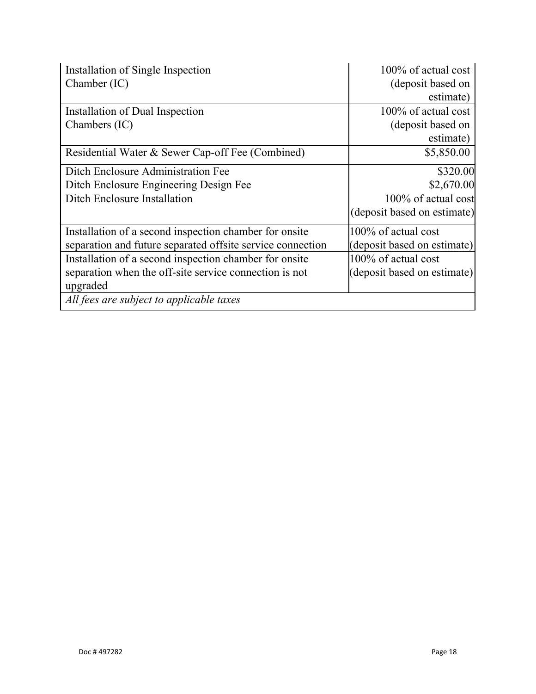| Installation of Single Inspection                          | $100\%$ of actual cost      |
|------------------------------------------------------------|-----------------------------|
| Chamber (IC)                                               | (deposit based on           |
|                                                            | estimate)                   |
| Installation of Dual Inspection                            | $100\%$ of actual cost      |
| Chambers (IC)                                              | (deposit based on           |
|                                                            | estimate)                   |
| Residential Water & Sewer Cap-off Fee (Combined)           | \$5,850.00                  |
| Ditch Enclosure Administration Fee                         | \$320.00                    |
| Ditch Enclosure Engineering Design Fee                     | \$2,670.00                  |
| Ditch Enclosure Installation                               | 100% of actual cost         |
|                                                            | (deposit based on estimate) |
| Installation of a second inspection chamber for onsite     | 100% of actual cost         |
| separation and future separated offsite service connection | (deposit based on estimate) |
| Installation of a second inspection chamber for onsite     | 100% of actual cost         |
| separation when the off-site service connection is not     | (deposit based on estimate) |
| upgraded                                                   |                             |
| All fees are subject to applicable taxes                   |                             |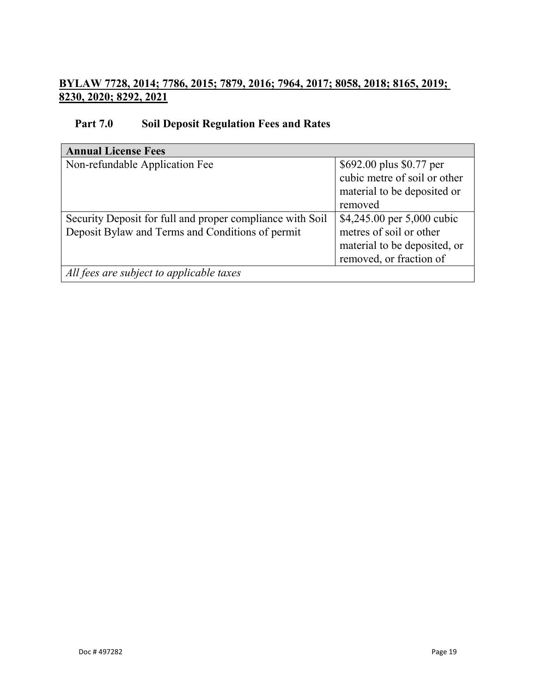## **BYLAW 7728, 2014; 7786, 2015; 7879, 2016; 7964, 2017; 8058, 2018; 8165, 2019; 8230, 2020; 8292, 2021**

## **Part 7.0 Soil Deposit Regulation Fees and Rates**

| <b>Annual License Fees</b>                                                                                    |                                                                                                                  |  |  |
|---------------------------------------------------------------------------------------------------------------|------------------------------------------------------------------------------------------------------------------|--|--|
| Non-refundable Application Fee                                                                                | \$692.00 plus \$0.77 per<br>cubic metre of soil or other<br>material to be deposited or<br>removed               |  |  |
| Security Deposit for full and proper compliance with Soil<br>Deposit Bylaw and Terms and Conditions of permit | \$4,245.00 per 5,000 cubic<br>metres of soil or other<br>material to be deposited, or<br>removed, or fraction of |  |  |
| All fees are subject to applicable taxes                                                                      |                                                                                                                  |  |  |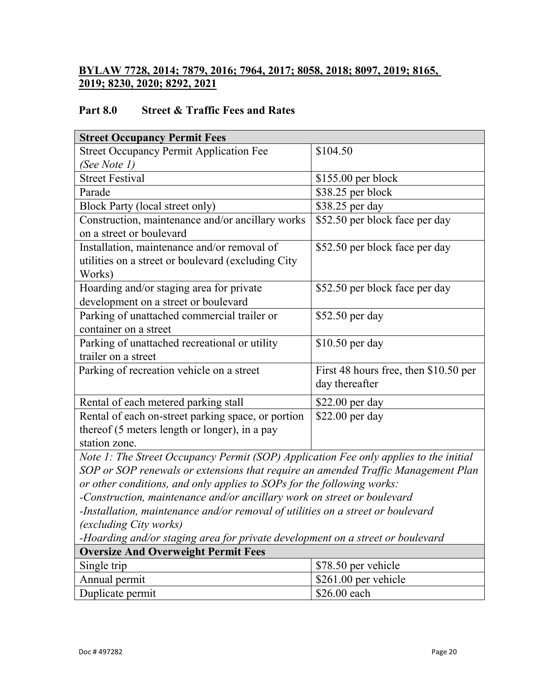## **BYLAW 7728, 2014; 7879, 2016; 7964, 2017; 8058, 2018; 8097, 2019; 8165, 2019; 8230, 2020; 8292, 2021**

## **Part 8.0 Street & Traffic Fees and Rates**

| <b>Street Occupancy Permit Fees</b>                                                   |                                       |  |  |
|---------------------------------------------------------------------------------------|---------------------------------------|--|--|
| <b>Street Occupancy Permit Application Fee</b>                                        | \$104.50                              |  |  |
| (See Note 1)                                                                          |                                       |  |  |
| <b>Street Festival</b>                                                                | $$155.00$ per block                   |  |  |
| Parade                                                                                | \$38.25 per block                     |  |  |
| <b>Block Party (local street only)</b>                                                | \$38.25 per day                       |  |  |
| Construction, maintenance and/or ancillary works                                      | \$52.50 per block face per day        |  |  |
| on a street or boulevard                                                              |                                       |  |  |
| Installation, maintenance and/or removal of                                           | \$52.50 per block face per day        |  |  |
| utilities on a street or boulevard (excluding City                                    |                                       |  |  |
| Works)                                                                                |                                       |  |  |
| Hoarding and/or staging area for private                                              | \$52.50 per block face per day        |  |  |
| development on a street or boulevard                                                  |                                       |  |  |
| Parking of unattached commercial trailer or                                           | \$52.50 per day                       |  |  |
| container on a street                                                                 |                                       |  |  |
| Parking of unattached recreational or utility                                         | \$10.50 per day                       |  |  |
| trailer on a street                                                                   |                                       |  |  |
| Parking of recreation vehicle on a street                                             | First 48 hours free, then \$10.50 per |  |  |
|                                                                                       | day thereafter                        |  |  |
| Rental of each metered parking stall                                                  | \$22.00 per day                       |  |  |
| Rental of each on-street parking space, or portion                                    | $$22.00$ per day                      |  |  |
| thereof (5 meters length or longer), in a pay                                         |                                       |  |  |
| station zone.                                                                         |                                       |  |  |
| Note 1: The Street Occupancy Permit (SOP) Application Fee only applies to the initial |                                       |  |  |

*Kreet Occupancy Permit (SOP) Application Fee only applies to the initial SOP or SOP renewals or extensions that require an amended Traffic Management Plan or other conditions, and only applies to SOPs for the following works:*

*-Construction, maintenance and/or ancillary work on street or boulevard*

*-Installation, maintenance and/or removal of utilities on a street or boulevard (excluding City works)*

*-Hoarding and/or staging area for private development on a street or boulevard*

| <b>Oversize And Overweight Permit Fees</b> |                                |  |  |
|--------------------------------------------|--------------------------------|--|--|
| Single trip                                | \$78.50 per vehicle            |  |  |
| Annual permit                              | $\frac{1}{261.00}$ per vehicle |  |  |
| Duplicate permit                           | \$26.00 each                   |  |  |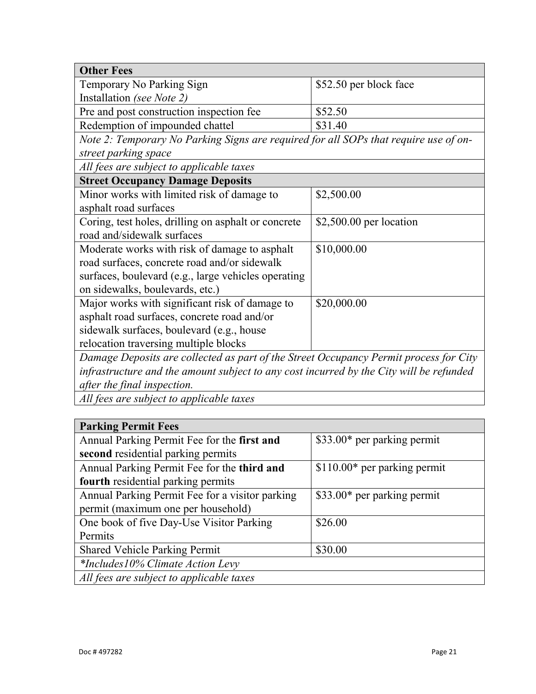| <b>Other Fees</b>                                                                       |                          |  |  |  |
|-----------------------------------------------------------------------------------------|--------------------------|--|--|--|
| Temporary No Parking Sign                                                               | \$52.50 per block face   |  |  |  |
| Installation (see Note 2)                                                               |                          |  |  |  |
| Pre and post construction inspection fee                                                | \$52.50                  |  |  |  |
| Redemption of impounded chattel                                                         | \$31.40                  |  |  |  |
| Note 2: Temporary No Parking Signs are required for all SOPs that require use of on-    |                          |  |  |  |
| street parking space                                                                    |                          |  |  |  |
| All fees are subject to applicable taxes                                                |                          |  |  |  |
| <b>Street Occupancy Damage Deposits</b>                                                 |                          |  |  |  |
| Minor works with limited risk of damage to                                              | \$2,500.00               |  |  |  |
| asphalt road surfaces                                                                   |                          |  |  |  |
| Coring, test holes, drilling on asphalt or concrete                                     | $$2,500.00$ per location |  |  |  |
| road and/sidewalk surfaces                                                              |                          |  |  |  |
| Moderate works with risk of damage to asphalt                                           | \$10,000.00              |  |  |  |
| road surfaces, concrete road and/or sidewalk                                            |                          |  |  |  |
| surfaces, boulevard (e.g., large vehicles operating                                     |                          |  |  |  |
| on sidewalks, boulevards, etc.)                                                         |                          |  |  |  |
| Major works with significant risk of damage to                                          | \$20,000.00              |  |  |  |
| asphalt road surfaces, concrete road and/or                                             |                          |  |  |  |
| sidewalk surfaces, boulevard (e.g., house                                               |                          |  |  |  |
| relocation traversing multiple blocks                                                   |                          |  |  |  |
| Damage Deposits are collected as part of the Street Occupancy Permit process for City   |                          |  |  |  |
| infrastructure and the amount subject to any cost incurred by the City will be refunded |                          |  |  |  |
| after the final inspection.                                                             |                          |  |  |  |

*All fees are subject to applicable taxes*

| <b>Parking Permit Fees</b>                      |                               |  |  |
|-------------------------------------------------|-------------------------------|--|--|
| Annual Parking Permit Fee for the first and     | \$33.00* per parking permit   |  |  |
| second residential parking permits              |                               |  |  |
| Annual Parking Permit Fee for the third and     | $$110.00*$ per parking permit |  |  |
| fourth residential parking permits              |                               |  |  |
| Annual Parking Permit Fee for a visitor parking | \$33.00* per parking permit   |  |  |
| permit (maximum one per household)              |                               |  |  |
| One book of five Day-Use Visitor Parking        | \$26.00                       |  |  |
| Permits                                         |                               |  |  |
| <b>Shared Vehicle Parking Permit</b>            | \$30.00                       |  |  |
| *Includes10% Climate Action Levy                |                               |  |  |
| All fees are subject to applicable taxes        |                               |  |  |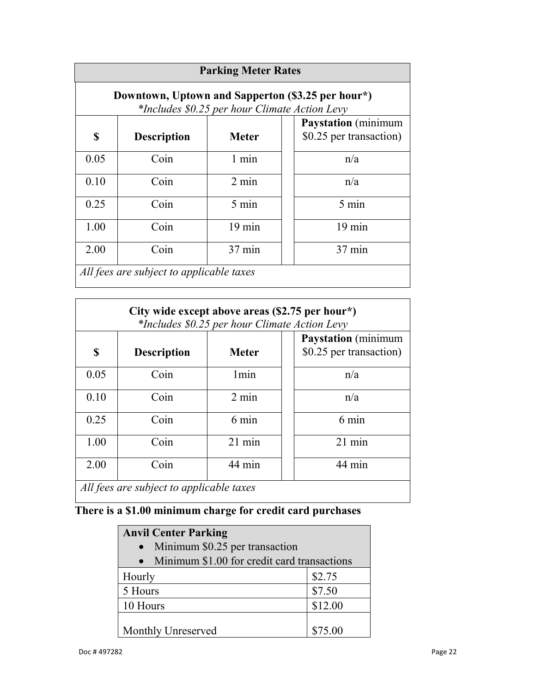| <b>Parking Meter Rates</b>                                                                         |                    |                  |                                                       |
|----------------------------------------------------------------------------------------------------|--------------------|------------------|-------------------------------------------------------|
| Downtown, Uptown and Sapperton (\$3.25 per hour*)<br>*Includes \$0.25 per hour Climate Action Levy |                    |                  |                                                       |
| S                                                                                                  | <b>Description</b> | <b>Meter</b>     | <b>Paystation</b> (minimum<br>\$0.25 per transaction) |
| 0.05                                                                                               | Coin               | $1$ min          | n/a                                                   |
| 0.10                                                                                               | Coin               | $2 \text{ min}$  | n/a                                                   |
| 0.25                                                                                               | Coin               | 5 min            | 5 min                                                 |
| 1.00                                                                                               | Coin               | $19 \text{ min}$ | $19 \text{ min}$                                      |
| 2.00                                                                                               | Coin               | 37 min           | 37 min                                                |
| All fees are subject to applicable taxes                                                           |                    |                  |                                                       |

| City wide except above areas (\$2.75 per hour*)<br>*Includes \$0.25 per hour Climate Action Levy |                    |                  |                                                       |
|--------------------------------------------------------------------------------------------------|--------------------|------------------|-------------------------------------------------------|
| S                                                                                                | <b>Description</b> | <b>Meter</b>     | <b>Paystation</b> (minimum<br>\$0.25 per transaction) |
| 0.05                                                                                             | Coin               | 1 <sub>min</sub> | n/a                                                   |
| 0.10                                                                                             | Coin               | $2 \text{ min}$  | n/a                                                   |
| 0.25                                                                                             | Coin               | 6 min            | 6 min                                                 |
| 1.00                                                                                             | Coin               | $21$ min         | $21$ min                                              |
| 2.00                                                                                             | Coin               | 44 min           | 44 min                                                |
| All fees are subject to applicable taxes                                                         |                    |                  |                                                       |

# **There is a \$1.00 minimum charge for credit card purchases**

| <b>Anvil Center Parking</b>                              |         |  |  |
|----------------------------------------------------------|---------|--|--|
| Minimum \$0.25 per transaction<br>$\bullet$              |         |  |  |
| Minimum \$1.00 for credit card transactions<br>$\bullet$ |         |  |  |
| Hourly                                                   | \$2.75  |  |  |
| 5 Hours                                                  | \$7.50  |  |  |
| 10 Hours                                                 | \$12.00 |  |  |
|                                                          |         |  |  |
| Monthly Unreserved                                       | \$75.00 |  |  |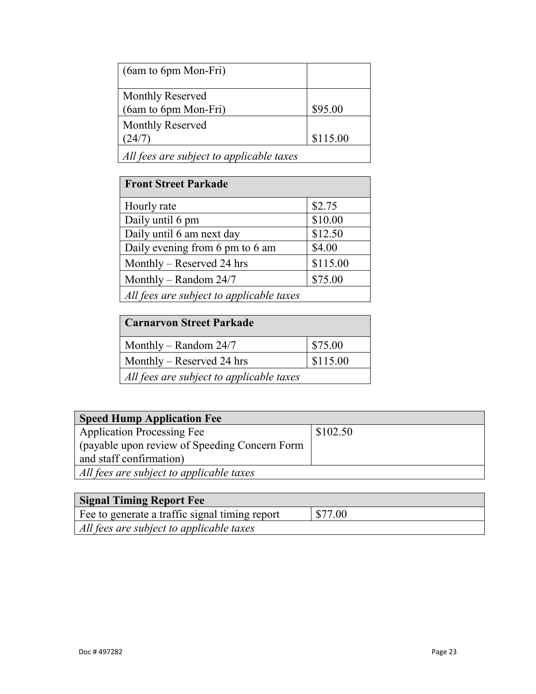| (6am to 6pm Mon-Fri)                     |          |
|------------------------------------------|----------|
| Monthly Reserved                         |          |
| $(6am \text{ to } 6pm \text{ Mon-Fri})$  | \$95.00  |
| Monthly Reserved                         |          |
| (24/7                                    | \$115.00 |
| All fees are subject to applicable taxes |          |

| <b>Front Street Parkade</b>              |          |
|------------------------------------------|----------|
| Hourly rate                              | \$2.75   |
| Daily until 6 pm                         | \$10.00  |
| Daily until 6 am next day                | \$12.50  |
| Daily evening from 6 pm to 6 am          | \$4.00   |
| Monthly – Reserved 24 hrs                | \$115.00 |
| Monthly – Random $24/7$                  | \$75.00  |
| All fees are subject to applicable taxes |          |

| <b>Carnaryon Street Parkade</b>          |          |
|------------------------------------------|----------|
| Monthly – Random $24/7$                  | \$75.00  |
| Monthly – Reserved 24 hrs                | \$115.00 |
| All fees are subject to applicable taxes |          |

| <b>Speed Hump Application Fee</b>             |          |
|-----------------------------------------------|----------|
| <b>Application Processing Fee</b>             | \$102.50 |
| (payable upon review of Speeding Concern Form |          |
| and staff confirmation)                       |          |
| All fees are subject to applicable taxes      |          |

| <b>Signal Timing Report Fee</b>                |         |
|------------------------------------------------|---------|
| Fee to generate a traffic signal timing report | \$77.00 |
| All fees are subject to applicable taxes       |         |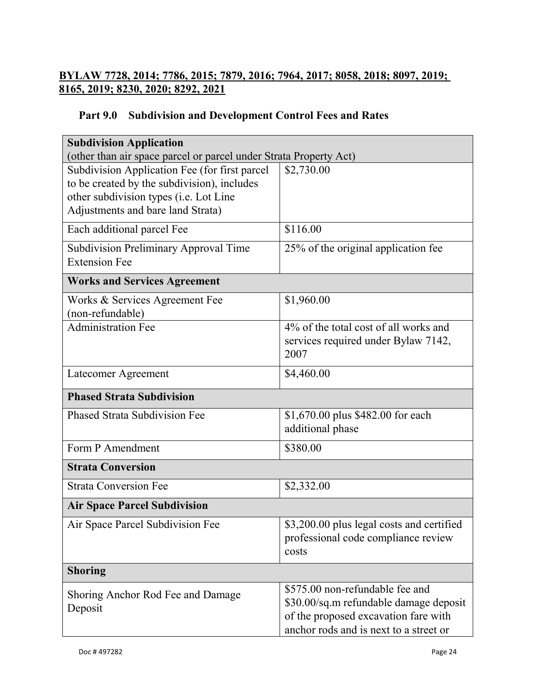## **BYLAW 7728, 2014; 7786, 2015; 7879, 2016; 7964, 2017; 8058, 2018; 8097, 2019; 8165, 2019; 8230, 2020; 8292, 2021**

## **Part 9.0 Subdivision and Development Control Fees and Rates**

| <b>Subdivision Application</b>                                    |                                           |  |
|-------------------------------------------------------------------|-------------------------------------------|--|
| (other than air space parcel or parcel under Strata Property Act) |                                           |  |
| Subdivision Application Fee (for first parcel                     | \$2,730.00                                |  |
| to be created by the subdivision), includes                       |                                           |  |
| other subdivision types (i.e. Lot Line                            |                                           |  |
| Adjustments and bare land Strata)                                 |                                           |  |
| Each additional parcel Fee                                        | \$116.00                                  |  |
| <b>Subdivision Preliminary Approval Time</b>                      | 25% of the original application fee       |  |
| <b>Extension Fee</b>                                              |                                           |  |
| <b>Works and Services Agreement</b>                               |                                           |  |
| Works & Services Agreement Fee                                    | \$1,960.00                                |  |
| (non-refundable)                                                  |                                           |  |
| <b>Administration Fee</b>                                         | 4% of the total cost of all works and     |  |
|                                                                   | services required under Bylaw 7142,       |  |
|                                                                   | 2007                                      |  |
| Latecomer Agreement                                               | \$4,460.00                                |  |
|                                                                   |                                           |  |
| <b>Phased Strata Subdivision</b>                                  |                                           |  |
| <b>Phased Strata Subdivision Fee</b>                              |                                           |  |
|                                                                   | \$1,670.00 plus \$482.00 for each         |  |
|                                                                   | additional phase                          |  |
| Form P Amendment                                                  | \$380.00                                  |  |
| <b>Strata Conversion</b>                                          |                                           |  |
| <b>Strata Conversion Fee</b>                                      | \$2,332.00                                |  |
| <b>Air Space Parcel Subdivision</b>                               |                                           |  |
|                                                                   | \$3,200.00 plus legal costs and certified |  |
| Air Space Parcel Subdivision Fee                                  | professional code compliance review       |  |
|                                                                   | costs                                     |  |
| <b>Shoring</b>                                                    |                                           |  |
|                                                                   | \$575.00 non-refundable fee and           |  |
| Shoring Anchor Rod Fee and Damage                                 | \$30.00/sq.m refundable damage deposit    |  |
| Deposit                                                           | of the proposed excavation fare with      |  |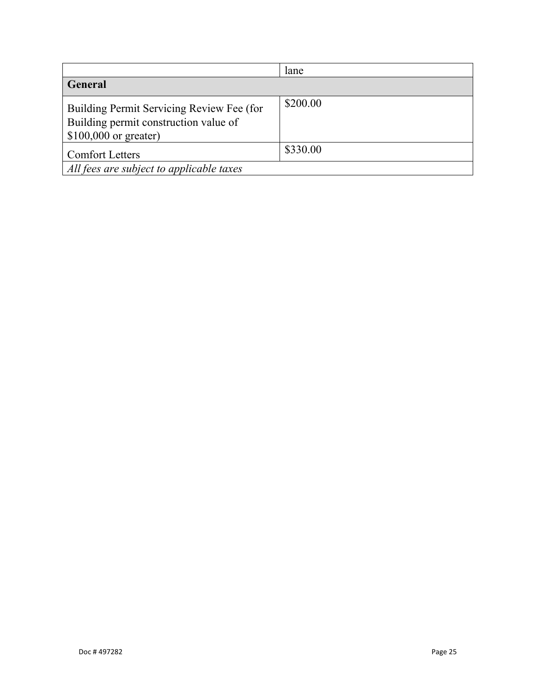|                                                                                                              | lane     |
|--------------------------------------------------------------------------------------------------------------|----------|
| <b>General</b>                                                                                               |          |
| Building Permit Servicing Review Fee (for<br>Building permit construction value of<br>$$100,000$ or greater) | \$200.00 |
| <b>Comfort Letters</b>                                                                                       | \$330.00 |
| All fees are subject to applicable taxes                                                                     |          |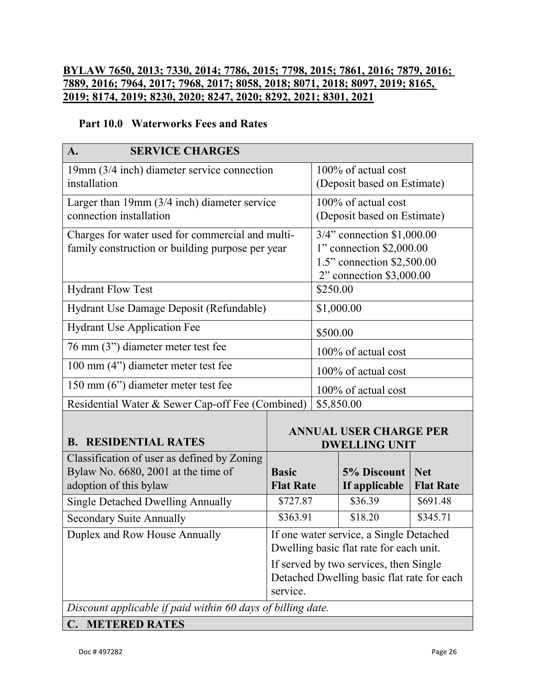## **BYLAW 7650, 2013; 7330, 2014; 7786, 2015; 7798, 2015; 7861, 2016; 7879, 2016; 7889, 2016; 7964, 2017; 7968, 2017; 8058, 2018; 8071, 2018; 8097, 2019; 8165, 2019; 8174, 2019; 8230, 2020; 8247, 2020; 8292, 2021; 8301, 2021**

#### **Part 10.0 Waterworks Fees and Rates**

| <b>SERVICE CHARGES</b><br>A.                                                                                 |                                                                                                  |                                                                                                                  |                                                    |                                |  |
|--------------------------------------------------------------------------------------------------------------|--------------------------------------------------------------------------------------------------|------------------------------------------------------------------------------------------------------------------|----------------------------------------------------|--------------------------------|--|
| 19mm (3/4 inch) diameter service connection<br>installation                                                  |                                                                                                  | 100% of actual cost<br>(Deposit based on Estimate)                                                               |                                                    |                                |  |
| Larger than 19mm (3/4 inch) diameter service<br>connection installation                                      |                                                                                                  |                                                                                                                  | 100% of actual cost<br>(Deposit based on Estimate) |                                |  |
| Charges for water used for commercial and multi-<br>family construction or building purpose per year         |                                                                                                  | 3/4" connection \$1,000.00<br>1" connection \$2,000.00<br>1.5" connection \$2,500.00<br>2" connection \$3,000.00 |                                                    |                                |  |
| <b>Hydrant Flow Test</b>                                                                                     |                                                                                                  | \$250.00                                                                                                         |                                                    |                                |  |
| Hydrant Use Damage Deposit (Refundable)                                                                      |                                                                                                  |                                                                                                                  | \$1,000.00                                         |                                |  |
| <b>Hydrant Use Application Fee</b>                                                                           |                                                                                                  | \$500.00                                                                                                         |                                                    |                                |  |
| 76 mm (3") diameter meter test fee                                                                           |                                                                                                  |                                                                                                                  | 100% of actual cost                                |                                |  |
| 100 mm (4") diameter meter test fee                                                                          |                                                                                                  |                                                                                                                  | 100% of actual cost                                |                                |  |
| 150 mm (6") diameter meter test fee                                                                          |                                                                                                  | 100% of actual cost                                                                                              |                                                    |                                |  |
| Residential Water & Sewer Cap-off Fee (Combined)                                                             |                                                                                                  | \$5,850.00                                                                                                       |                                                    |                                |  |
| <b>B. RESIDENTIAL RATES</b>                                                                                  | <b>ANNUAL USER CHARGE PER</b><br><b>DWELLING UNIT</b>                                            |                                                                                                                  |                                                    |                                |  |
| Classification of user as defined by Zoning<br>Bylaw No. 6680, 2001 at the time of<br>adoption of this bylaw | <b>Basic</b><br><b>Flat Rate</b>                                                                 |                                                                                                                  | 5% Discount<br>If applicable                       | <b>Net</b><br><b>Flat Rate</b> |  |
| <b>Single Detached Dwelling Annually</b>                                                                     | \$727.87                                                                                         |                                                                                                                  | \$36.39                                            | \$691.48                       |  |
| <b>Secondary Suite Annually</b>                                                                              | \$363.91                                                                                         |                                                                                                                  | \$18.20                                            | \$345.71                       |  |
| Duplex and Row House Annually                                                                                | If one water service, a Single Detached<br>Dwelling basic flat rate for each unit.               |                                                                                                                  |                                                    |                                |  |
|                                                                                                              | If served by two services, then Single<br>Detached Dwelling basic flat rate for each<br>service. |                                                                                                                  |                                                    |                                |  |
| Discount applicable if paid within 60 days of billing date.                                                  |                                                                                                  |                                                                                                                  |                                                    |                                |  |
| <b>METERED RATES</b><br>$\mathbf{C}$ .                                                                       |                                                                                                  |                                                                                                                  |                                                    |                                |  |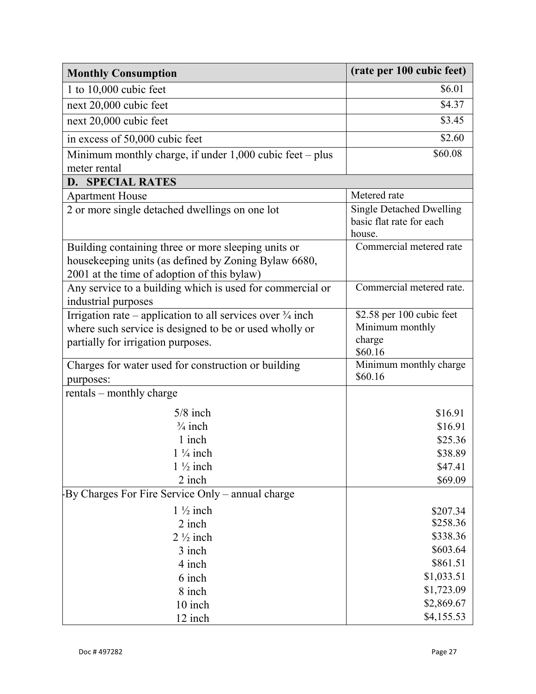| <b>Monthly Consumption</b>                                                                                                                                            | (rate per 100 cubic feet)                                             |
|-----------------------------------------------------------------------------------------------------------------------------------------------------------------------|-----------------------------------------------------------------------|
| 1 to $10,000$ cubic feet                                                                                                                                              | \$6.01                                                                |
| next 20,000 cubic feet                                                                                                                                                | \$4.37                                                                |
| next 20,000 cubic feet                                                                                                                                                | \$3.45                                                                |
| in excess of 50,000 cubic feet                                                                                                                                        | \$2.60                                                                |
| Minimum monthly charge, if under $1,000$ cubic feet – plus                                                                                                            | \$60.08                                                               |
| meter rental                                                                                                                                                          |                                                                       |
| <b>D. SPECIAL RATES</b>                                                                                                                                               |                                                                       |
| <b>Apartment House</b>                                                                                                                                                | Metered rate                                                          |
| 2 or more single detached dwellings on one lot                                                                                                                        | <b>Single Detached Dwelling</b><br>basic flat rate for each<br>house. |
| Building containing three or more sleeping units or<br>housekeeping units (as defined by Zoning Bylaw 6680,<br>2001 at the time of adoption of this bylaw)            | Commercial metered rate                                               |
| Any service to a building which is used for commercial or<br>industrial purposes                                                                                      | Commercial metered rate.                                              |
| Irrigation rate – application to all services over $\frac{3}{4}$ inch<br>where such service is designed to be or used wholly or<br>partially for irrigation purposes. | \$2.58 per 100 cubic feet<br>Minimum monthly<br>charge<br>\$60.16     |
| Charges for water used for construction or building<br>purposes:                                                                                                      | Minimum monthly charge<br>\$60.16                                     |
| rentals – monthly charge                                                                                                                                              |                                                                       |
| $5/8$ inch                                                                                                                                                            | \$16.91                                                               |
| $\frac{3}{4}$ inch                                                                                                                                                    | \$16.91                                                               |
| 1 inch                                                                                                                                                                | \$25.36                                                               |
| $1\frac{1}{4}$ inch                                                                                                                                                   | \$38.89                                                               |
| $1\frac{1}{2}$ inch                                                                                                                                                   | \$47.41                                                               |
| 2 inch                                                                                                                                                                | \$69.09                                                               |
| By Charges For Fire Service Only – annual charge                                                                                                                      |                                                                       |
| $1\frac{1}{2}$ inch                                                                                                                                                   | \$207.34                                                              |
| 2 inch                                                                                                                                                                | \$258.36                                                              |
| $2\frac{1}{2}$ inch                                                                                                                                                   | \$338.36                                                              |
| 3 inch                                                                                                                                                                | \$603.64                                                              |
| 4 inch                                                                                                                                                                | \$861.51                                                              |
| 6 inch                                                                                                                                                                | \$1,033.51                                                            |
| 8 inch                                                                                                                                                                | \$1,723.09                                                            |
| 10 inch                                                                                                                                                               | \$2,869.67                                                            |
| 12 inch                                                                                                                                                               | \$4,155.53                                                            |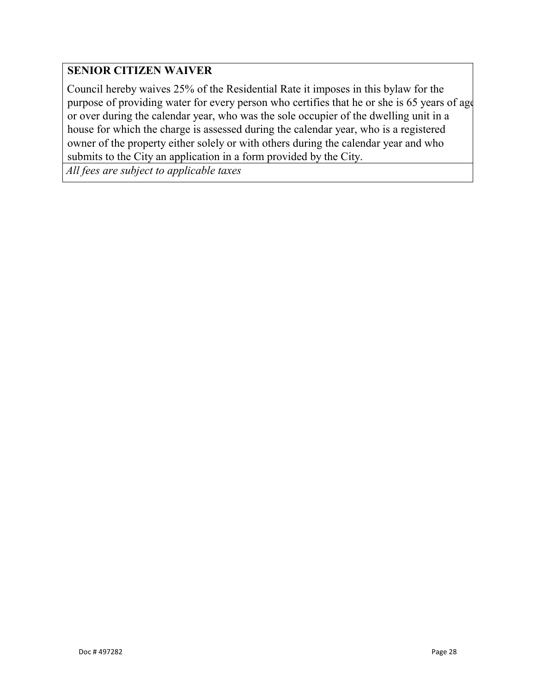## **SENIOR CITIZEN WAIVER**

Council hereby waives 25% of the Residential Rate it imposes in this bylaw for the purpose of providing water for every person who certifies that he or she is 65 years of age or over during the calendar year, who was the sole occupier of the dwelling unit in a house for which the charge is assessed during the calendar year, who is a registered owner of the property either solely or with others during the calendar year and who submits to the City an application in a form provided by the City.

*All fees are subject to applicable taxes*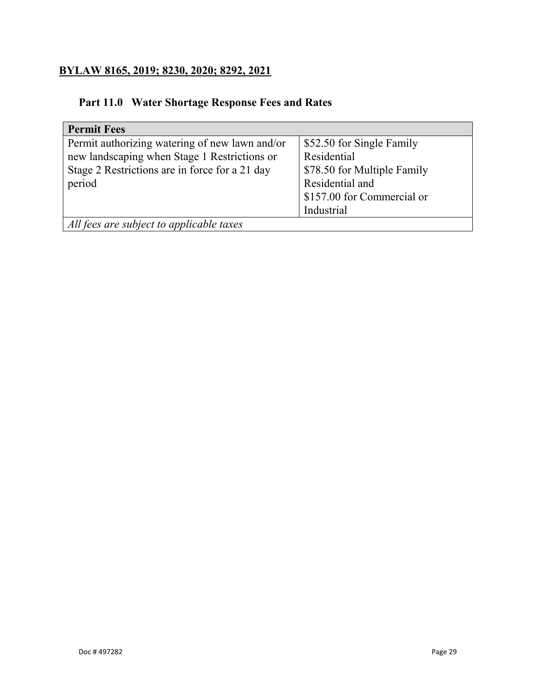## **BYLAW 8165, 2019; 8230, 2020; 8292, 2021**

## **Part 11.0 Water Shortage Response Fees and Rates**

| <b>Permit Fees</b>                             |                             |
|------------------------------------------------|-----------------------------|
| Permit authorizing watering of new lawn and/or | \$52.50 for Single Family   |
| new landscaping when Stage 1 Restrictions or   | Residential                 |
| Stage 2 Restrictions are in force for a 21 day | \$78.50 for Multiple Family |
| period                                         | Residential and             |
|                                                | \$157.00 for Commercial or  |
|                                                | Industrial                  |
| All fees are subject to applicable taxes       |                             |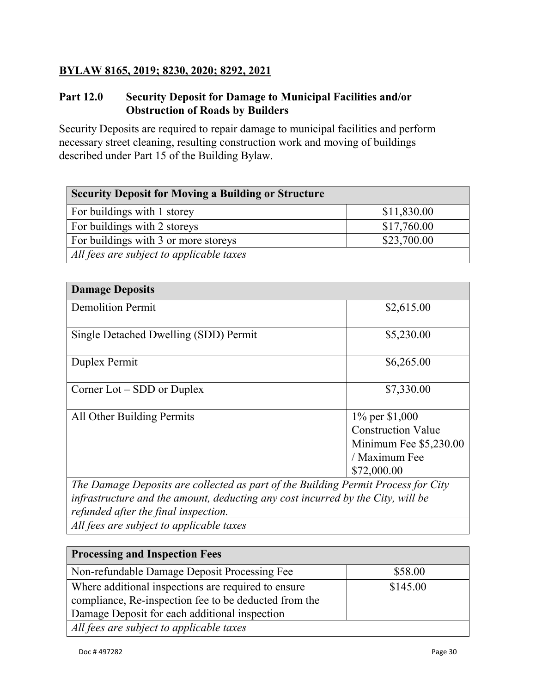## **BYLAW 8165, 2019; 8230, 2020; 8292, 2021**

## **Part 12.0 Security Deposit for Damage to Municipal Facilities and/or Obstruction of Roads by Builders**

Security Deposits are required to repair damage to municipal facilities and perform necessary street cleaning, resulting construction work and moving of buildings described under Part 15 of the Building Bylaw.

| <b>Security Deposit for Moving a Building or Structure</b> |             |  |
|------------------------------------------------------------|-------------|--|
| For buildings with 1 storey                                | \$11,830.00 |  |
| For buildings with 2 storeys                               | \$17,760.00 |  |
| For buildings with 3 or more storeys                       | \$23,700.00 |  |
| All fees are subject to applicable taxes                   |             |  |

| <b>Damage Deposits</b>                                                              |                           |
|-------------------------------------------------------------------------------------|---------------------------|
| <b>Demolition Permit</b>                                                            | \$2,615.00                |
| Single Detached Dwelling (SDD) Permit                                               | \$5,230.00                |
| Duplex Permit                                                                       | \$6,265.00                |
| Corner $Lot - SDD$ or Duplex                                                        | \$7,330.00                |
| All Other Building Permits                                                          | $1\%$ per \$1,000         |
|                                                                                     | <b>Construction Value</b> |
|                                                                                     | Minimum Fee \$5,230.00    |
|                                                                                     | / Maximum Fee             |
|                                                                                     | \$72,000.00               |
| The Democratic current and collected as neutral the Duilding Deputy Ducess for City |                           |

*The Damage Deposits are collected as part of the Building Permit Process for City infrastructure and the amount, deducting any cost incurred by the City, will be refunded after the final inspection.*

*All fees are subject to applicable taxes*

| <b>Processing and Inspection Fees</b>                 |          |
|-------------------------------------------------------|----------|
| Non-refundable Damage Deposit Processing Fee          | \$58.00  |
| Where additional inspections are required to ensure   | \$145.00 |
| compliance, Re-inspection fee to be deducted from the |          |
| Damage Deposit for each additional inspection         |          |
| All fees are subject to applicable taxes              |          |